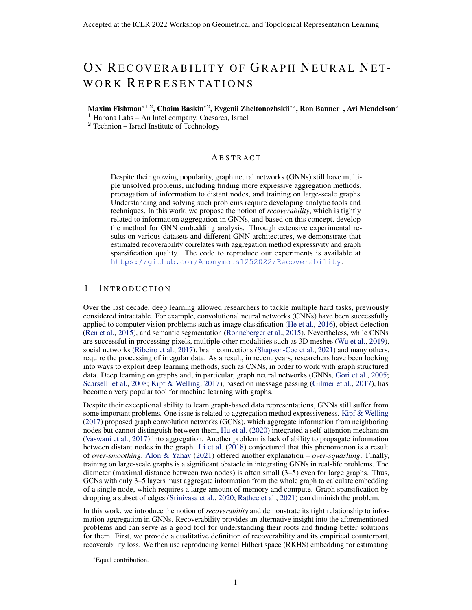# <span id="page-0-0"></span>ON RECOVERABILITY OF GRAPH NEURAL NET-WORK REPRESENTATIONS

Maxim Fishman\* $^{1,2}$ , Chaim Baskin\* $^{2}$ , Evgenii Zheltonozhskii\* $^{2}$ , Ron Banner $^{1}$ , Avi Mendelson $^{2}$ 

<sup>1</sup> Habana Labs – An Intel company, Caesarea, Israel

 $2$  Technion – Israel Institute of Technology

## **ABSTRACT**

Despite their growing popularity, graph neural networks (GNNs) still have multiple unsolved problems, including finding more expressive aggregation methods, propagation of information to distant nodes, and training on large-scale graphs. Understanding and solving such problems require developing analytic tools and techniques. In this work, we propose the notion of *recoverability*, which is tightly related to information aggregation in GNNs, and based on this concept, develop the method for GNN embedding analysis. Through extensive experimental results on various datasets and different GNN architectures, we demonstrate that estimated recoverability correlates with aggregation method expressivity and graph sparsification quality. The code to reproduce our experiments is available at <https://github.com/Anonymous1252022/Recoverability>.

# 1 INTRODUCTION

Over the last decade, deep learning allowed researchers to tackle multiple hard tasks, previously considered intractable. For example, convolutional neural networks (CNNs) have been successfully applied to computer vision problems such as image classification [\(He et al.,](#page-4-0) [2016\)](#page-4-0), object detection [\(Ren et al.,](#page-5-0) [2015\)](#page-5-0), and semantic segmentation [\(Ronneberger et al.,](#page-5-0) [2015\)](#page-5-0). Nevertheless, while CNNs are successful in processing pixels, multiple other modalities such as 3D meshes [\(Wu et al.,](#page-5-0) [2019\)](#page-5-0), social networks [\(Ribeiro et al.,](#page-5-0) [2017\)](#page-5-0), brain connections [\(Shapson-Coe et al.,](#page-5-0) [2021\)](#page-5-0) and many others, require the processing of irregular data. As a result, in recent years, researchers have been looking into ways to exploit deep learning methods, such as CNNs, in order to work with graph structured data. Deep learning on graphs and, in particular, graph neural networks (GNNs, [Gori et al.,](#page-4-0) [2005;](#page-4-0) [Scarselli et al.,](#page-5-0) [2008;](#page-5-0) [Kipf & Welling,](#page-4-0) [2017\)](#page-4-0), based on message passing [\(Gilmer et al.,](#page-4-0) [2017\)](#page-4-0), has become a very popular tool for machine learning with graphs.

Despite their exceptional ability to learn graph-based data representations, GNNs still suffer from some important problems. One issue is related to aggregation method expressiveness. [Kipf & Welling](#page-4-0) [\(2017\)](#page-4-0) proposed graph convolution networks (GCNs), which aggregate information from neighboring nodes but cannot distinguish between them, [Hu et al.](#page-4-0) [\(2020\)](#page-4-0) integrated a self-attention mechanism [\(Vaswani et al.,](#page-5-0) [2017\)](#page-5-0) into aggregation. Another problem is lack of ability to propagate information between distant nodes in the graph. [Li et al.](#page-4-0) [\(2018\)](#page-4-0) conjectured that this phenomenon is a result of *over-smoothing*, [Alon & Yahav](#page-4-0) [\(2021\)](#page-4-0) offered another explanation – *over-squashing*. Finally, training on large-scale graphs is a significant obstacle in integrating GNNs in real-life problems. The diameter (maximal distance between two nodes) is often small (3–5) even for large graphs. Thus, GCNs with only 3–5 layers must aggregate information from the whole graph to calculate embedding of a single node, which requires a large amount of memory and compute. Graph sparsification by dropping a subset of edges [\(Srinivasa et al.,](#page-5-0) [2020;](#page-5-0) [Rathee et al.,](#page-5-0) [2021\)](#page-5-0) can diminish the problem.

In this work, we introduce the notion of *recoverability* and demonstrate its tight relationship to information aggregation in GNNs. Recoverability provides an alternative insight into the aforementioned problems and can serve as a good tool for understanding their roots and finding better solutions for them. First, we provide a qualitative definition of recoverability and its empirical counterpart, recoverability loss. We then use reproducing kernel Hilbert space (RKHS) embedding for estimating

<sup>∗</sup>Equal contribution.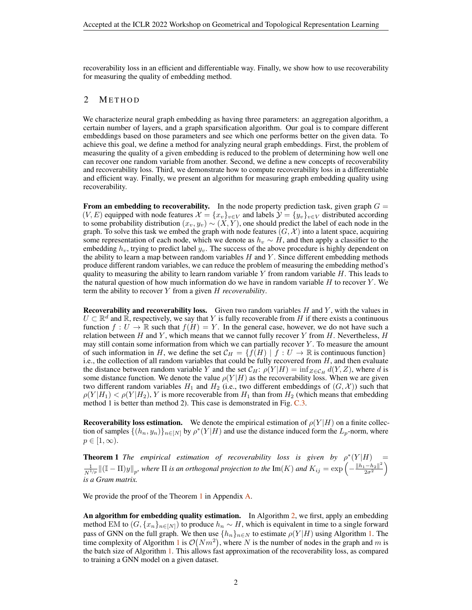<span id="page-1-0"></span>recoverability loss in an efficient and differentiable way. Finally, we show how to use recoverability for measuring the quality of embedding method.

## 2 METHOD

We characterize neural graph embedding as having three parameters: an aggregation algorithm, a certain number of layers, and a graph sparsification algorithm. Our goal is to compare different embeddings based on those parameters and see which one performs better on the given data. To achieve this goal, we define a method for analyzing neural graph embeddings. First, the problem of measuring the quality of a given embedding is reduced to the problem of determining how well one can recover one random variable from another. Second, we define a new concepts of recoverability and recoverability loss. Third, we demonstrate how to compute recoverability loss in a differentiable and efficient way. Finally, we present an algorithm for measuring graph embedding quality using recoverability.

From an embedding to recoverability. In the node property prediction task, given graph  $G =$  $(V, E)$  equipped with node features  $\mathcal{X} = \{x_v\}_{v \in V}$  and labels  $\mathcal{Y} = \{y_v\}_{v \in V}$  distributed according to some probability distribution  $(x_v, y_v) \sim (X, Y)$ , one should predict the label of each node in the graph. To solve this task we embed the graph with node features  $(G, \mathcal{X})$  into a latent space, acquiring some representation of each node, which we denote as  $h_v \sim H$ , and then apply a classifier to the embedding  $h_v$ , trying to predict label  $y_v$ . The success of the above procedure is highly dependent on the ability to learn a map between random variables  $H$  and  $Y$ . Since different embedding methods produce different random variables, we can reduce the problem of measuring the embedding method's quality to measuring the ability to learn random variable  $Y$  from random variable  $H$ . This leads to the natural question of how much information do we have in random variable  $H$  to recover  $Y$ . We term the ability to recover Y from a given H *recoverability*.

**Recoverability and recoverability loss.** Given two random variables  $H$  and  $Y$ , with the values in  $U \subset \mathbb{R}^d$  and  $\mathbb{R}$ , respectively, we say that Y is fully recoverable from H if there exists a continuous function  $f: U \to \mathbb{R}$  such that  $f(H) = Y$ . In the general case, however, we do not have such a relation between H and Y, which means that we cannot fully recover Y from H. Nevertheless,  $H$ may still contain some information from which we can partially recover  $Y$ . To measure the amount of such information in H, we define the set  $C_H = \{f(H) | f : U \to \mathbb{R} \text{ is continuous function}\}\$ i.e., the collection of all random variables that could be fully recovered from  $H$ , and then evaluate the distance between random variable Y and the set  $C_H$ :  $\rho(Y|H) = \inf_{Z \in \mathcal{C}_H} d(Y, Z)$ , where d is some distance function. We denote the value  $\rho(Y|H)$  as the recoverability loss. When we are given two different random variables  $H_1$  and  $H_2$  (i.e., two different embeddings of  $(G, \mathcal{X})$ ) such that  $\rho(Y|H_1) < \rho(Y|H_2)$ , Y is more recoverable from  $H_1$  than from  $H_2$  (which means that embedding method 1 is better than method 2). This case is demonstrated in Fig. [C.3.](#page-11-0)

**Recoverability loss estimation.** We denote the empirical estimation of  $\rho(Y|H)$  on a finite collection of samples  $\{(h_n, y_n)\}_{n \in [N]}$  by  $\rho^*(Y|H)$  and use the distance induced form the  $L_p$ -norm, where  $p \in [1,\infty).$ 

**Theorem 1** *The empirical estimation of recoverability loss is given by*  $\rho^*(Y|H)$  = 1  $\frac{1}{N^{1/p}}\|(\mathbb{I}-\Pi)y\|_p$ , where  $\Pi$  is an orthogonal projection to the  $\mathrm{Im}(K)$  and  $K_{ij}=\exp\left(-\frac{\|h_1-h_2\|^2}{2\sigma^2}\right)$  $\frac{-h_2\|^2}{2\sigma^2}\Big)$ *is a Gram matrix.*

We provide the proof of the Theorem 1 in Appendix [A.](#page-6-0)

An algorithm for embedding quality estimation. In Algorithm [2,](#page-2-0) we first, apply an embedding method EM to  $(G, \{x_n\}_{n\in[N]})$  to produce  $h_n \sim H$ , which is equivalent in time to a single forward pass of GNN on the full graph. We then use  $\{h_n\}_{n\in\mathbb{N}}$  to estimate  $\rho(Y|H)$  using Algorithm [1.](#page-2-0) The time complexity of Algorithm [1](#page-2-0) is  $\mathcal{O}(Nm^2)$ , where N is the number of nodes in the graph and m is the batch size of Algorithm [1.](#page-2-0) This allows fast approximation of the recoverability loss, as compared to training a GNN model on a given dataset.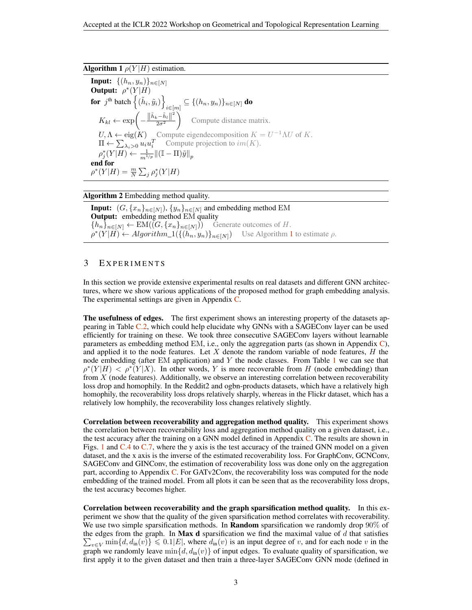#### <span id="page-2-0"></span>**Algorithm 1**  $\rho(Y|H)$  estimation.

**Input:**  $\{(h_n, y_n)\}_{n \in [N]}$ Output:  $\rho^*(Y|H)$ for  $j^{\text{th}}$  batch  $\left\{(\tilde{h}_i, \tilde{y}_i)\right\}$  $\mathcal{L}_{i\in[m]}\subseteq\{(h_n,y_n)\}_{n\in[N]}$  do  $K_{kl} \leftarrow \exp \left(-\frac{\left\|\tilde{h}_k - \tilde{h}_l\right\|^2}{2\sigma^2}\right)$  $2\sigma^2$ Compute distance matrix.  $U, \Lambda \leftarrow eig(K)$  Compute eigendecomposition  $K = U^{-1} \Lambda U$  of K.  $\Pi \leftarrow \sum_{\lambda_i > 0} u_i u_i^T$  Compute projection to  $im(K)$ .  $\rho_j^*(Y|H) \leftarrow \frac{1}{m^{1/p}} \left\| (\mathbb{I} - \Pi) \tilde{y} \right\|_p$ end for  $\rho^*(Y|H) = \frac{m}{N} \sum_j \rho_j^*(Y|H)$ 

#### Algorithm 2 Embedding method quality.

**Input:**  $(G, \{x_n\}_{n\in[N]})$ ,  $\{y_n\}_{n\in[N]}$  and embedding method EM **Output:** embedding method EM quality  ${h_n}_{n\in[N]} \leftarrow EM((G, {x_n}_{n\in[N]}))$  Generate outcomes of H.  $\rho^*(Y|\vec{H}) \leftarrow Algorithm\_1(\{(\vec{h}_n, y_n)\}_{n \in [N]})$  Use Algorithm 1 to estimate  $\rho$ .

## 3 EXPERIMENTS

In this section we provide extensive experimental results on real datasets and different GNN architectures, where we show various applications of the proposed method for graph embedding analysis. The experimental settings are given in Appendix [C.](#page-9-0)

The usefulness of edges. The first experiment shows an interesting property of the datasets appearing in Table [C.2,](#page-9-0) which could help elucidate why GNNs with a SAGEConv layer can be used efficiently for training on these. We took three consecutive SAGEConv layers without learnable parameters as embedding method EM, i.e., only the aggregation parts (as shown in Appendix  $C$ ), and applied it to the node features. Let  $X$  denote the random variable of node features,  $H$  the node embedding (after EM application) and  $Y$  the node classes. From Table [1](#page-3-0) we can see that  $\rho^*(Y|H) < \rho^*(Y|X)$ . In other words, Y is more recoverable from H (node embedding) than from  $X$  (node features). Additionally, we observe an interesting correlation between recoverability loss drop and homophily. In the Reddit2 and ogbn-products datasets, which have a relatively high homophily, the recoverability loss drops relatively sharply, whereas in the Flickr dataset, which has a relatively low homphily, the recoverability loss changes relatively slightly.

Correlation between recoverability and aggregation method quality. This experiment shows the correlation between recoverability loss and aggregation method quality on a given dataset, i.e., the test accuracy after the training on a GNN model defined in Appendix  $C$ . The results are shown in Figs. [1](#page-3-0) and [C.4](#page-12-0) to [C.7,](#page-13-0) where the y axis is the test accuracy of the trained GNN model on a given dataset, and the x axis is the inverse of the estimated recoverability loss. For GraphConv, GCNConv, SAGEConv and GINConv, the estimation of recoverability loss was done only on the aggregation part, according to Appendix [C.](#page-10-0) For GATv2Conv, the recoverability loss was computed for the node embedding of the trained model. From all plots it can be seen that as the recoverability loss drops, the test accuracy becomes higher.

Correlation between recoverability and the graph sparsification method quality. In this experiment we show that the quality of the given sparsification method correlates with recoverability. We use two simple sparsification methods. In **Random** sparsification we randomly drop  $90\%$  of the edges from the graph. In **Max d** sparsification we find the maximal value of  $d$  that satisfies  $\sum_{v \in V} \min\{d, d_{\text{in}}(v)\}\leq 0.1|E|$ , where  $d_{\text{in}}(v)$  is an input degree of v, and for each node v in the graph we randomly leave  $\min\{d, d_{in}(v)\}$  of input edges. To evaluate quality of sparsification, we first apply it to the given dataset and then train a three-layer SAGEConv GNN mode (defined in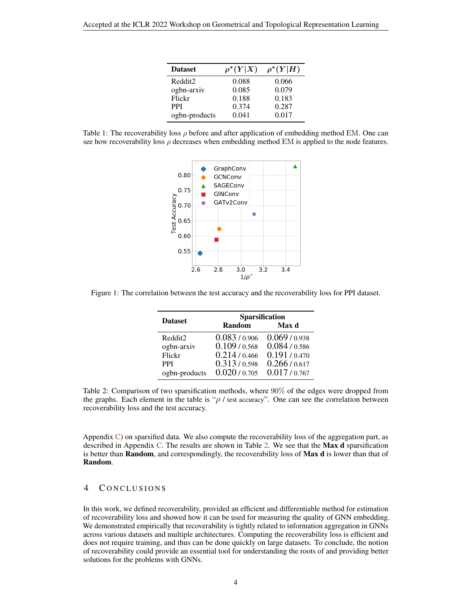| <b>Dataset</b> | $\rho^*(Y X)$ | $\rho^*(Y H)$ |
|----------------|---------------|---------------|
| Reddit2        | 0.088         | 0.066         |
| ogbn-arxiv     | 0.085         | 0.079         |
| Flickr         | 0.188         | 0.183         |
| <b>PPI</b>     | 0.374         | 0.287         |
| ogbn-products  | 0.041         | 0.017         |

<span id="page-3-0"></span>Table 1: The recoverability loss  $\rho$  before and after application of embedding method EM. One can see how recoverability loss  $\rho$  decreases when embedding method EM is applied to the node features.



Figure 1: The correlation between the test accuracy and the recoverability loss for PPI dataset.

| <b>Dataset</b> | Sparsification |             |  |  |  |
|----------------|----------------|-------------|--|--|--|
|                | Random         | Max d       |  |  |  |
| Reddit2        | 0.083/0.906    | 0.069/0.938 |  |  |  |
| ogbn-arxiv     | 0.109/0.568    | 0.084/0.586 |  |  |  |
| Flickr         | 0.214/0.466    | 0.191/0.470 |  |  |  |
| <b>PPI</b>     | 0.313/0.598    | 0.266/0.617 |  |  |  |
| ogbn-products  | 0.020/0.705    | 0.017/0.767 |  |  |  |

Table 2: Comparison of two sparsification methods, where 90% of the edges were dropped from the graphs. Each element in the table is " $\rho$  / test accuracy". One can see the correlation between recoverability loss and the test accuracy.

Appendix  $C$ ) on sparsified data. We also compute the recoverability loss of the aggregation part, as described in Appendix [C.](#page-10-0) The results are shown in Table 2. We see that the **Max d** sparsification is better than Random, and correspondingly, the recoverability loss of Max d is lower than that of Random.

## 4 CONCLUSIONS

In this work, we defined recoverability, provided an efficient and differentiable method for estimation of recoverability loss and showed how it can be used for measuring the quality of GNN embedding. We demonstrated empirically that recoverability is tightly related to information aggregation in GNNs across various datasets and multiple architectures. Computing the recoverability loss is efficient and does not require training, and thus can be done quickly on large datasets. To conclude, the notion of recoverability could provide an essential tool for understanding the roots of and providing better solutions for the problems with GNNs.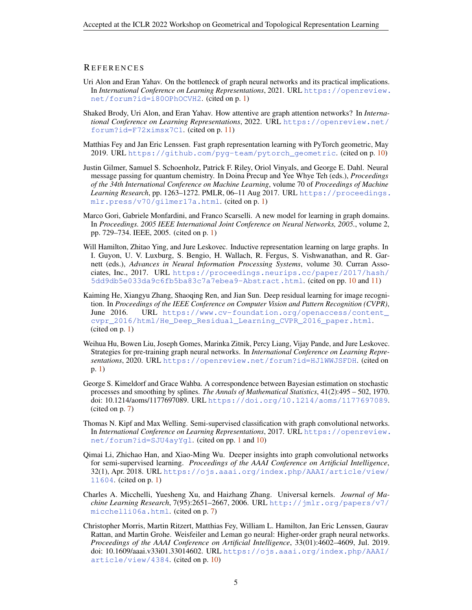### <span id="page-4-0"></span>**REFERENCES**

- Uri Alon and Eran Yahav. On the bottleneck of graph neural networks and its practical implications. In *International Conference on Learning Representations*, 2021. URL [https://openreview.](https://openreview.net/forum?id=i80OPhOCVH2) [net/forum?id=i80OPhOCVH2](https://openreview.net/forum?id=i80OPhOCVH2). (cited on p. [1\)](#page-0-0)
- Shaked Brody, Uri Alon, and Eran Yahav. How attentive are graph attention networks? In *International Conference on Learning Representations*, 2022. URL [https://openreview.net/](https://openreview.net/forum?id=F72ximsx7C1) [forum?id=F72ximsx7C1](https://openreview.net/forum?id=F72ximsx7C1). (cited on p. [11\)](#page-10-0)
- Matthias Fey and Jan Eric Lenssen. Fast graph representation learning with PyTorch geometric, May 2019. URL [https://github.com/pyg-team/pytorch\\_geometric](https://github.com/pyg-team/pytorch_geometric). (cited on p. [10\)](#page-9-0)
- Justin Gilmer, Samuel S. Schoenholz, Patrick F. Riley, Oriol Vinyals, and George E. Dahl. Neural message passing for quantum chemistry. In Doina Precup and Yee Whye Teh (eds.), *Proceedings of the 34th International Conference on Machine Learning*, volume 70 of *Proceedings of Machine Learning Research*, pp. 1263–1272. PMLR, 06–11 Aug 2017. URL [https://proceedings.](https://proceedings.mlr.press/v70/gilmer17a.html) [mlr.press/v70/gilmer17a.html](https://proceedings.mlr.press/v70/gilmer17a.html). (cited on p. [1\)](#page-0-0)
- Marco Gori, Gabriele Monfardini, and Franco Scarselli. A new model for learning in graph domains. In *Proceedings. 2005 IEEE International Joint Conference on Neural Networks, 2005.*, volume 2, pp. 729–734. IEEE, 2005. (cited on p. [1\)](#page-0-0)
- Will Hamilton, Zhitao Ying, and Jure Leskovec. Inductive representation learning on large graphs. In I. Guyon, U. V. Luxburg, S. Bengio, H. Wallach, R. Fergus, S. Vishwanathan, and R. Garnett (eds.), *Advances in Neural Information Processing Systems*, volume 30. Curran Associates, Inc., 2017. URL [https://proceedings.neurips.cc/paper/2017/hash/](https://proceedings.neurips.cc/paper/2017/hash/5dd9db5e033da9c6fb5ba83c7a7ebea9-Abstract.html) [5dd9db5e033da9c6fb5ba83c7a7ebea9-Abstract.html](https://proceedings.neurips.cc/paper/2017/hash/5dd9db5e033da9c6fb5ba83c7a7ebea9-Abstract.html). (cited on pp. [10](#page-9-0) and [11\)](#page-10-0)
- Kaiming He, Xiangyu Zhang, Shaoqing Ren, and Jian Sun. Deep residual learning for image recognition. In *Proceedings of the IEEE Conference on Computer Vision and Pattern Recognition (CVPR)*, June 2016. URL [https://www.cv-foundation.org/openaccess/content\\_](https://www.cv-foundation.org/openaccess/content_cvpr_2016/html/He_Deep_Residual_Learning_CVPR_2016_paper.html) [cvpr\\_2016/html/He\\_Deep\\_Residual\\_Learning\\_CVPR\\_2016\\_paper.html](https://www.cv-foundation.org/openaccess/content_cvpr_2016/html/He_Deep_Residual_Learning_CVPR_2016_paper.html). (cited on p. [1\)](#page-0-0)
- Weihua Hu, Bowen Liu, Joseph Gomes, Marinka Zitnik, Percy Liang, Vijay Pande, and Jure Leskovec. Strategies for pre-training graph neural networks. In *International Conference on Learning Representations*, 2020. URL <https://openreview.net/forum?id=HJlWWJSFDH>. (cited on p. [1\)](#page-0-0)
- George S. Kimeldorf and Grace Wahba. A correspondence between Bayesian estimation on stochastic processes and smoothing by splines. *The Annals of Mathematical Statistics*, 41(2):495 – 502, 1970. doi: 10.1214/aoms/1177697089. URL <https://doi.org/10.1214/aoms/1177697089>. (cited on p. [7\)](#page-6-0)
- Thomas N. Kipf and Max Welling. Semi-supervised classification with graph convolutional networks. In *International Conference on Learning Representations*, 2017. URL [https://openreview.](https://openreview.net/forum?id=SJU4ayYgl) [net/forum?id=SJU4ayYgl](https://openreview.net/forum?id=SJU4ayYgl). (cited on pp. [1](#page-0-0) and [10\)](#page-9-0)
- Qimai Li, Zhichao Han, and Xiao-Ming Wu. Deeper insights into graph convolutional networks for semi-supervised learning. *Proceedings of the AAAI Conference on Artificial Intelligence*, 32(1), Apr. 2018. URL [https://ojs.aaai.org/index.php/AAAI/article/view/](https://ojs.aaai.org/index.php/AAAI/article/view/11604) [11604](https://ojs.aaai.org/index.php/AAAI/article/view/11604). (cited on p. [1\)](#page-0-0)
- Charles A. Micchelli, Yuesheng Xu, and Haizhang Zhang. Universal kernels. *Journal of Machine Learning Research*, 7(95):2651–2667, 2006. URL [http://jmlr.org/papers/v7/](http://jmlr.org/papers/v7/micchelli06a.html) [micchelli06a.html](http://jmlr.org/papers/v7/micchelli06a.html). (cited on p. [7\)](#page-6-0)
- Christopher Morris, Martin Ritzert, Matthias Fey, William L. Hamilton, Jan Eric Lenssen, Gaurav Rattan, and Martin Grohe. Weisfeiler and Leman go neural: Higher-order graph neural networks. *Proceedings of the AAAI Conference on Artificial Intelligence*, 33(01):4602–4609, Jul. 2019. doi: 10.1609/aaai.v33i01.33014602. URL [https://ojs.aaai.org/index.php/AAAI/](https://ojs.aaai.org/index.php/AAAI/article/view/4384) [article/view/4384](https://ojs.aaai.org/index.php/AAAI/article/view/4384). (cited on p. [10\)](#page-9-0)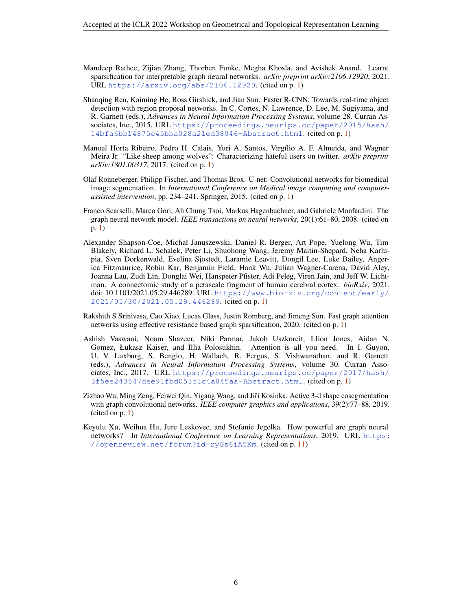- <span id="page-5-0"></span>Mandeep Rathee, Zijian Zhang, Thorben Funke, Megha Khosla, and Avishek Anand. Learnt sparsification for interpretable graph neural networks. *arXiv preprint arXiv:2106.12920*, 2021. URL <https://arxiv.org/abs/2106.12920>. (cited on p. [1\)](#page-0-0)
- Shaoqing Ren, Kaiming He, Ross Girshick, and Jian Sun. Faster R-CNN: Towards real-time object detection with region proposal networks. In C. Cortes, N. Lawrence, D. Lee, M. Sugiyama, and R. Garnett (eds.), *Advances in Neural Information Processing Systems*, volume 28. Curran Associates, Inc., 2015. URL [https://proceedings.neurips.cc/paper/2015/hash/](https://proceedings.neurips.cc/paper/2015/hash/14bfa6bb14875e45bba028a21ed38046-Abstract.html) [14bfa6bb14875e45bba028a21ed38046-Abstract.html](https://proceedings.neurips.cc/paper/2015/hash/14bfa6bb14875e45bba028a21ed38046-Abstract.html). (cited on p. [1\)](#page-0-0)
- Manoel Horta Ribeiro, Pedro H. Calais, Yuri A. Santos, Virgílio A. F. Almeida, and Wagner Meira Jr. "Like sheep among wolves": Characterizing hateful users on twitter. *arXiv preprint arXiv:1801.00317*, 2017. (cited on p. [1\)](#page-0-0)
- Olaf Ronneberger, Philipp Fischer, and Thomas Brox. U-net: Convolutional networks for biomedical image segmentation. In *International Conference on Medical image computing and computerassisted intervention*, pp. 234–241. Springer, 2015. (cited on p. [1\)](#page-0-0)
- Franco Scarselli, Marco Gori, Ah Chung Tsoi, Markus Hagenbuchner, and Gabriele Monfardini. The graph neural network model. *IEEE transactions on neural networks*, 20(1):61–80, 2008. (cited on p. [1\)](#page-0-0)
- Alexander Shapson-Coe, Michał Januszewski, Daniel R. Berger, Art Pope, Yuelong Wu, Tim Blakely, Richard L. Schalek, Peter Li, Shuohong Wang, Jeremy Maitin-Shepard, Neha Karlupia, Sven Dorkenwald, Evelina Sjostedt, Laramie Leavitt, Dongil Lee, Luke Bailey, Angerica Fitzmaurice, Rohin Kar, Benjamin Field, Hank Wu, Julian Wagner-Carena, David Aley, Joanna Lau, Zudi Lin, Donglai Wei, Hanspeter Pfister, Adi Peleg, Viren Jain, and Jeff W. Lichtman. A connectomic study of a petascale fragment of human cerebral cortex. *bioRxiv*, 2021. doi: 10.1101/2021.05.29.446289. URL [https://www.biorxiv.org/content/early/](https://www.biorxiv.org/content/early/2021/05/30/2021.05.29.446289) [2021/05/30/2021.05.29.446289](https://www.biorxiv.org/content/early/2021/05/30/2021.05.29.446289). (cited on p. [1\)](#page-0-0)
- Rakshith S Srinivasa, Cao Xiao, Lucas Glass, Justin Romberg, and Jimeng Sun. Fast graph attention networks using effective resistance based graph sparsification, 2020. (cited on p. [1\)](#page-0-0)
- Ashish Vaswani, Noam Shazeer, Niki Parmar, Jakob Uszkoreit, Llion Jones, Aidan N. Gomez, Łukasz Kaiser, and Illia Polosukhin. Attention is all you need. In I. Guyon, U. V. Luxburg, S. Bengio, H. Wallach, R. Fergus, S. Vishwanathan, and R. Garnett (eds.), *Advances in Neural Information Processing Systems*, volume 30. Curran Associates, Inc., 2017. URL [https://proceedings.neurips.cc/paper/2017/hash/](https://proceedings.neurips.cc/paper/2017/hash/3f5ee243547dee91fbd053c1c4a845aa-Abstract.html) [3f5ee243547dee91fbd053c1c4a845aa-Abstract.html](https://proceedings.neurips.cc/paper/2017/hash/3f5ee243547dee91fbd053c1c4a845aa-Abstract.html). (cited on p. [1\)](#page-0-0)
- Zizhao Wu, Ming Zeng, Feiwei Qin, Yigang Wang, and Jiří Kosinka. Active 3-d shape cosegmentation with graph convolutional networks. *IEEE computer graphics and applications*, 39(2):77–88, 2019. (cited on p. [1\)](#page-0-0)
- Keyulu Xu, Weihua Hu, Jure Leskovec, and Stefanie Jegelka. How powerful are graph neural networks? In *International Conference on Learning Representations*, 2019. URL [https:](https://openreview.net/forum?id=ryGs6iA5Km) [//openreview.net/forum?id=ryGs6iA5Km](https://openreview.net/forum?id=ryGs6iA5Km). (cited on p. [11\)](#page-10-0)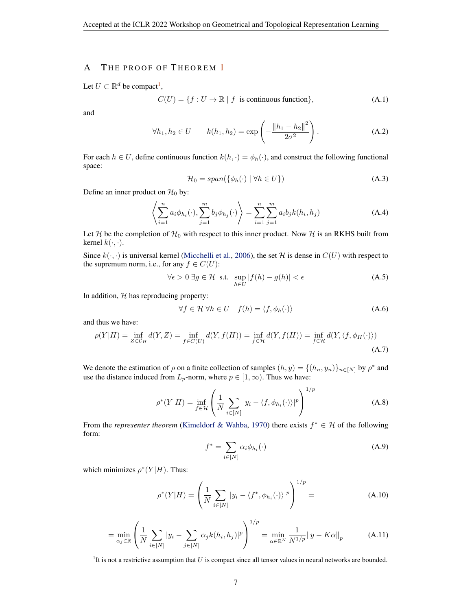## <span id="page-6-0"></span>A THE PROOF OF THEOREM [1](#page-1-0)

Let  $U \subset \mathbb{R}^d$  be compact<sup>1</sup>,

$$
C(U) = \{ f : U \to \mathbb{R} \mid f \text{ is continuous function} \},
$$
 (A.1)

and

$$
\forall h_1, h_2 \in U \qquad k(h_1, h_2) = \exp\left(-\frac{\|h_1 - h_2\|^2}{2\sigma^2}\right). \tag{A.2}
$$

For each  $h \in U$ , define continuous function  $k(h, \cdot) = \phi_h(\cdot)$ , and construct the following functional space:

$$
\mathcal{H}_0 = span(\{\phi_h(\cdot) \mid \forall h \in U\})\tag{A.3}
$$

Define an inner product on  $\mathcal{H}_0$  by:

$$
\left\langle \sum_{i=1}^{n} a_i \phi_{h_i}(\cdot), \sum_{j=1}^{m} b_j \phi_{h_j}(\cdot) \right\rangle = \sum_{i=1}^{n} \sum_{j=1}^{m} a_i b_j k(h_i, h_j)
$$
\n(A.4)

Let H be the completion of  $\mathcal{H}_0$  with respect to this inner product. Now H is an RKHS built from kernel  $k(\cdot, \cdot)$ .

Since  $k(\cdot, \cdot)$  is universal kernel [\(Micchelli et al.,](#page-4-0) [2006\)](#page-4-0), the set H is dense in  $C(U)$  with respect to the supremum norm, i.e., for any  $f \in C(U)$ :

$$
\forall \epsilon > 0 \; \exists g \in \mathcal{H} \text{ s.t. } \sup_{h \in U} |f(h) - g(h)| < \epsilon \tag{A.5}
$$

In addition,  $H$  has reproducing property:

$$
\forall f \in \mathcal{H} \,\forall h \in U \quad f(h) = \langle f, \phi_h(\cdot) \rangle \tag{A.6}
$$

and thus we have:

$$
\rho(Y|H) = \inf_{Z \in \mathcal{C}_H} d(Y, Z) = \inf_{f \in C(U)} d(Y, f(H)) = \inf_{f \in \mathcal{H}} d(Y, f(H)) = \inf_{f \in \mathcal{H}} d(Y, \langle f, \phi_H(\cdot) \rangle)
$$
\n(A.7)

We denote the estimation of  $\rho$  on a finite collection of samples  $(h, y) = \{(h_n, y_n)\}_{n \in [N]}$  by  $\rho^*$  and use the distance induced from  $L_p$ -norm, where  $p \in [1,\infty)$ . Thus we have:

$$
\rho^*(Y|H) = \inf_{f \in \mathcal{H}} \left( \frac{1}{N} \sum_{i \in [N]} |y_i - \langle f, \phi_{h_i}(\cdot) \rangle|^p \right)^{1/p}
$$
(A.8)

From the *representer theorem* [\(Kimeldorf & Wahba,](#page-4-0) [1970\)](#page-4-0) there exists  $f^* \in H$  of the following form:

$$
f^* = \sum_{i \in [N]} \alpha_i \phi_{h_i}(\cdot) \tag{A.9}
$$

which minimizes  $\rho^*(Y|H)$ . Thus:

$$
\rho^*(Y|H) = \left(\frac{1}{N} \sum_{i \in [N]} |y_i - \langle f^*, \phi_{h_i}(\cdot) \rangle|^p\right)^{1/p} = (A.10)
$$

$$
= \min_{\alpha_j \in \mathbb{R}} \left( \frac{1}{N} \sum_{i \in [N]} |y_i - \sum_{j \in [N]} \alpha_j k(h_i, h_j)|^p \right)^{1/p} = \min_{\alpha \in \mathbb{R}^N} \frac{1}{N^{1/p}} \|y - K\alpha\|_p \tag{A.11}
$$

 ${}^{1}$ It is not a restrictive assumption that U is compact since all tensor values in neural networks are bounded.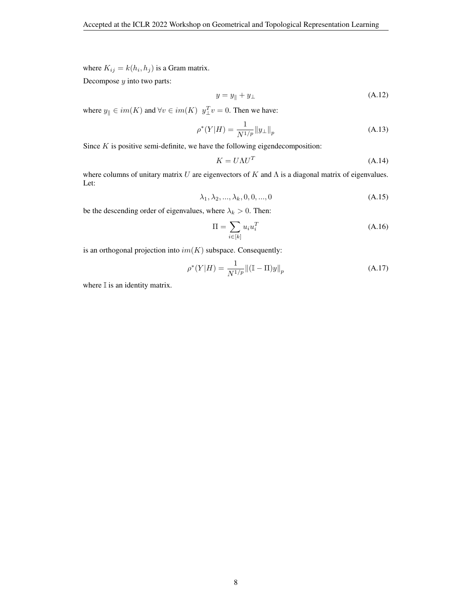where  $K_{ij} = k(h_i, h_j)$  is a Gram matrix.

Decompose  $y$  into two parts:

$$
y = y_{\parallel} + y_{\perp} \tag{A.12}
$$

where  $y_{\parallel} \in im(K)$  and  $\forall v \in im(K)$   $y_{\perp}^T v = 0$ . Then we have:

$$
\rho^*(Y|H) = \frac{1}{N^{1/p}} \|y_\perp\|_p \tag{A.13}
$$

Since  $K$  is positive semi-definite, we have the following eigendecomposition:

$$
K = U\Lambda U^T \tag{A.14}
$$

where columns of unitary matrix  $U$  are eigenvectors of  $K$  and  $\Lambda$  is a diagonal matrix of eigenvalues. Let:

$$
\lambda_1, \lambda_2, ..., \lambda_k, 0, 0, ..., 0
$$
\n(A.15)

be the descending order of eigenvalues, where  $\lambda_k > 0$ . Then:

$$
\Pi = \sum_{i \in [k]} u_i u_i^T \tag{A.16}
$$

is an orthogonal projection into  $im(K)$  subspace. Consequently:

$$
\rho^*(Y|H) = \frac{1}{N^{1/p}} \| (\mathbb{I} - \Pi) y \|_p \tag{A.17}
$$

where  $\mathbb I$  is an identity matrix.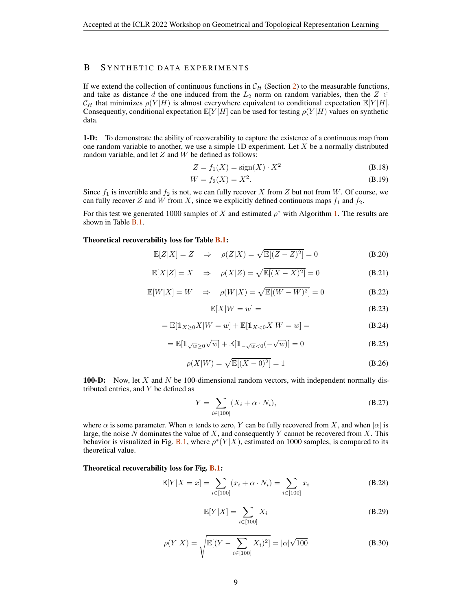# B SYNTHETIC DATA EXPERIMENTS

If we extend the collection of continuous functions in  $\mathcal{C}_H$  (Section [2\)](#page-1-0) to the measurable functions, and take as distance d the one induced from the  $L_2$  norm on random variables, then the  $Z \in$  $\mathcal{C}_H$  that minimizes  $\rho(Y|H)$  is almost everywhere equivalent to conditional expectation  $\mathbb{E}[Y|H]$ . Consequently, conditional expectation  $\mathbb{E}[Y|H]$  can be used for testing  $\rho(Y|H)$  values on synthetic data.

1-D: To demonstrate the ability of recoverability to capture the existence of a continuous map from one random variable to another, we use a simple 1D experiment. Let  $X$  be a normally distributed random variable, and let  $Z$  and  $W$  be defined as follows:

$$
Z = f_1(X) = \text{sign}(X) \cdot X^2 \tag{B.18}
$$

$$
W = f_2(X) = X^2.
$$
 (B.19)

Since  $f_1$  is invertible and  $f_2$  is not, we can fully recover X from Z but not from W. Of course, we can fully recover Z and W from X, since we explicitly defined continuous maps  $f_1$  and  $f_2$ .

For this test we generated 1000 samples of X and estimated  $\rho^*$  with Algorithm [1.](#page-2-0) The results are shown in Table [B.1.](#page-9-0)

#### Theoretical recoverability loss for Table [B.1:](#page-9-0)

$$
\mathbb{E}[Z|X] = Z \quad \Rightarrow \quad \rho(Z|X) = \sqrt{\mathbb{E}[(Z-Z)^2]} = 0 \tag{B.20}
$$

$$
\mathbb{E}[X|Z] = X \quad \Rightarrow \quad \rho(X|Z) = \sqrt{\mathbb{E}[(X-X)^2]} = 0 \tag{B.21}
$$

$$
\mathbb{E}[W|X] = W \quad \Rightarrow \quad \rho(W|X) = \sqrt{\mathbb{E}[(W-W)^2]} = 0 \tag{B.22}
$$

$$
\mathbb{E}[X|W=w] = \tag{B.23}
$$

$$
= \mathbb{E}[\mathbb{1}_{X \ge 0} X | W = w] + \mathbb{E}[\mathbb{1}_{X < 0} X | W = w] = \tag{B.24}
$$

$$
= \mathbb{E}[1_{\sqrt{w} \ge 0} \sqrt{w}] + \mathbb{E}[1_{-\sqrt{w} < 0}(-\sqrt{w})] = 0 \tag{B.25}
$$

$$
\rho(X|W) = \sqrt{\mathbb{E}[(X-0)^2]} = 1
$$
\n(B.26)

**100-D:** Now, let  $X$  and  $N$  be 100-dimensional random vectors, with independent normally distributed entries, and  $Y$  be defined as

$$
Y = \sum_{i \in [100]} (X_i + \alpha \cdot N_i), \tag{B.27}
$$

where  $\alpha$  is some parameter. When  $\alpha$  tends to zero, Y can be fully recovered from X, and when  $|\alpha|$  is large, the noise  $N$  dominates the value of  $X$ , and consequently  $Y$  cannot be recovered from  $X$ . This behavior is visualized in Fig. [B.1,](#page-9-0) where  $\rho^*(Y|X)$ , estimated on 1000 samples, is compared to its theoretical value.

#### Theoretical recoverability loss for Fig. [B.1:](#page-9-0)

$$
\mathbb{E}[Y|X=x] = \sum_{i \in [100]} (x_i + \alpha \cdot N_i) = \sum_{i \in [100]} x_i
$$
 (B.28)

$$
\mathbb{E}[Y|X] = \sum_{i \in [100]} X_i
$$
 (B.29)

$$
\rho(Y|X) = \sqrt{\mathbb{E}[(Y - \sum_{i \in [100]} X_i)^2]} = |\alpha| \sqrt{100}
$$
 (B.30)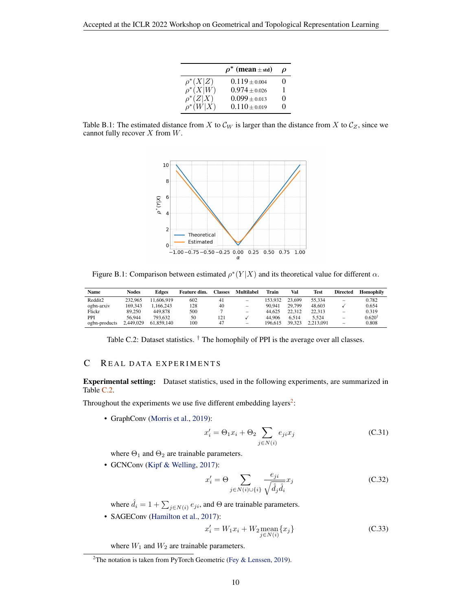|               | $\rho^*$ (mean $\pm$ std) | D        |
|---------------|---------------------------|----------|
| $\rho^*(X Z)$ | $0.119 \pm 0.004$         | 0        |
| $\rho^*(X W)$ | $0.974 + 0.026$           |          |
| $\rho^*(Z X)$ | $0.099 \pm 0.013$         | $\Omega$ |
| $\rho^*(W X)$ | $0.110 \pm 0.019$         | 0        |

<span id="page-9-0"></span>Table B.1: The estimated distance from X to  $\mathcal{C}_W$  is larger than the distance from X to  $\mathcal{C}_Z$ , since we cannot fully recover  $X$  from  $W$ .



Figure B.1: Comparison between estimated  $\rho^*(Y|X)$  and its theoretical value for different  $\alpha$ .

| Name          | Nodes     | Edges      | Feature dim. | Classes | Multilabel               | Train   | Val    | Test      | <b>Directed</b>          | Homophily         |
|---------------|-----------|------------|--------------|---------|--------------------------|---------|--------|-----------|--------------------------|-------------------|
| Reddit2       | 232,965   | 1.606.919  | 602          | 41      | -                        | 153.932 | 23,699 | 55.334    | -                        | 0.782             |
| ogbn-arxiv    | 169.343   | .166.243   | 128          | 40      | $\overline{\phantom{0}}$ | 90.941  | 29.799 | 48,603    |                          | 0.654             |
| Flickr        | 89.250    | 449.878    | 500          |         | -                        | 44.625  | 22.312 | 22.313    | -                        | 0.319             |
| PPI           | 56.944    | 793.632    | 50           | 121     |                          | 44.906  | 6.514  | 5.524     | $\overline{\phantom{a}}$ | $0.620^{\dagger}$ |
| ogbn-products | 2.449.029 | 61.859.140 | 100          | 47      | $\overline{\phantom{a}}$ | 196.615 | 39.323 | 2.213.091 | $\overline{\phantom{a}}$ | 0.808             |

Table C.2: Dataset statistics.  $\dagger$  The homophily of PPI is the average over all classes.

## C REAL DATA EXPERIMENTS

Experimental setting: Dataset statistics, used in the following experiments, are summarized in Table C.2.

Throughout the experiments we use five different embedding layers<sup>2</sup>:

• GraphConv [\(Morris et al.,](#page-4-0) [2019\)](#page-4-0):

$$
x_i' = \Theta_1 x_i + \Theta_2 \sum_{j \in N(i)} e_{ji} x_j \tag{C.31}
$$

where  $\Theta_1$  and  $\Theta_2$  are trainable parameters.

• GCNConv [\(Kipf & Welling,](#page-4-0) [2017\)](#page-4-0):

$$
x_i' = \Theta \sum_{j \in N(i) \cup \{i\}} \frac{e_{ji}}{\sqrt{\hat{d}_j \hat{d}_i}} x_j
$$
 (C.32)

where  $\hat{d}_i = 1 + \sum_{j \in N(i)} e_{ji}$ , and  $\Theta$  are trainable parameters.

• SAGEConv [\(Hamilton et al.,](#page-4-0) [2017\)](#page-4-0):

$$
x'_{i} = W_{1}x_{i} + W_{2} \underset{j \in N(i)}{\text{mean}} \{x_{j}\}
$$
 (C.33)

where  $W_1$  and  $W_2$  are trainable parameters.

<sup>&</sup>lt;sup>2</sup>The notation is taken from PyTorch Geometric [\(Fey & Lenssen,](#page-4-0) [2019\)](#page-4-0).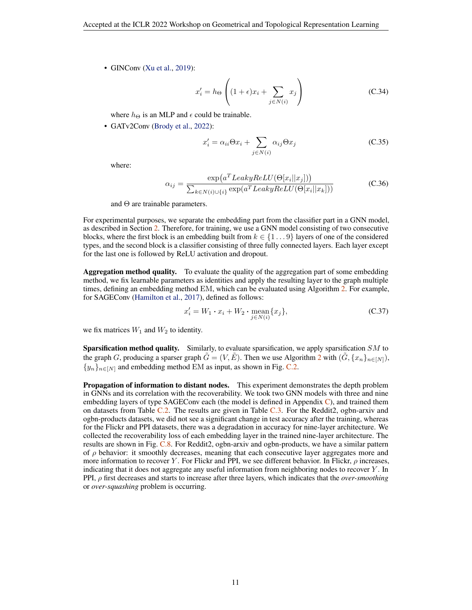<span id="page-10-0"></span>• GINConv [\(Xu et al.,](#page-5-0) [2019\)](#page-5-0):

$$
x'_{i} = h_{\Theta} \left( (1 + \epsilon)x_{i} + \sum_{j \in N(i)} x_{j} \right)
$$
 (C.34)

where  $h_{\Theta}$  is an MLP and  $\epsilon$  could be trainable.

• GATv2Conv [\(Brody et al.,](#page-4-0) [2022\)](#page-4-0):

$$
x'_{i} = \alpha_{ii} \Theta x_{i} + \sum_{j \in N(i)} \alpha_{ij} \Theta x_{j}
$$
 (C.35)

where:

$$
\alpha_{ij} = \frac{\exp(a^T LeakyReLU(\Theta[x_i||x_j]))}{\sum_{k \in N(i) \cup \{i\}} \exp(a^T LeakyReLU(\Theta[x_i||x_k]))}
$$
(C.36)

and Θ are trainable parameters.

For experimental purposes, we separate the embedding part from the classifier part in a GNN model, as described in Section [2.](#page-1-0) Therefore, for training, we use a GNN model consisting of two consecutive blocks, where the first block is an embedding built from  $k \in \{1...9\}$  layers of one of the considered types, and the second block is a classifier consisting of three fully connected layers. Each layer except for the last one is followed by ReLU activation and dropout.

Aggregation method quality. To evaluate the quality of the aggregation part of some embedding method, we fix learnable parameters as identities and apply the resulting layer to the graph multiple times, defining an embedding method EM, which can be evaluated using Algorithm [2.](#page-2-0) For example, for SAGEConv [\(Hamilton et al.,](#page-4-0) [2017\)](#page-4-0), defined as follows:

$$
x'_{i} = W_{1} \cdot x_{i} + W_{2} \cdot \underset{j \in N(i)}{\text{mean}} \{x_{j}\},\tag{C.37}
$$

we fix matrices  $W_1$  and  $W_2$  to identity.

**Sparsification method quality.** Similarly, to evaluate sparsification, we apply sparsification  $SM$  to the graph G, producing a sparser graph  $\hat{G} = (V, \hat{E})$ . Then we use Algorithm [2](#page-2-0) with  $(\hat{G}, \{x_n\}_{n\in[N]},$  ${y_n}_{n\in[N]}$  and embedding method EM as input, as shown in Fig. [C.2.](#page-11-0)

Propagation of information to distant nodes. This experiment demonstrates the depth problem in GNNs and its correlation with the recoverability. We took two GNN models with three and nine embedding layers of type SAGEConv each (the model is defined in Appendix  $\mathbb{C}$ ), and trained them on datasets from Table [C.2.](#page-9-0) The results are given in Table [C.3.](#page-12-0) For the Reddit2, ogbn-arxiv and ogbn-products datasets, we did not see a significant change in test accuracy after the training, whereas for the Flickr and PPI datasets, there was a degradation in accuracy for nine-layer architecture. We collected the recoverability loss of each embedding layer in the trained nine-layer architecture. The results are shown in Fig. [C.8.](#page-14-0) For Reddit2, ogbn-arxiv and ogbn-products, we have a similar pattern of  $\rho$  behavior: it smoothly decreases, meaning that each consecutive layer aggregates more and more information to recover Y. For Flickr and PPI, we see different behavior. In Flickr,  $\rho$  increases, indicating that it does not aggregate any useful information from neighboring nodes to recover Y . In PPI, ρ first decreases and starts to increase after three layers, which indicates that the *over-smoothing* or *over-squashing* problem is occurring.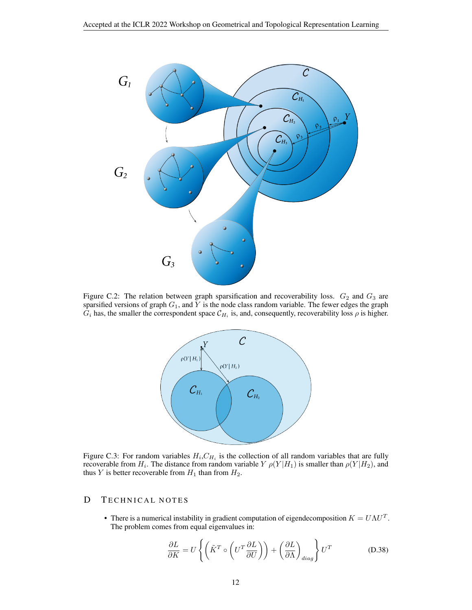<span id="page-11-0"></span>

Figure C.2: The relation between graph sparsification and recoverability loss.  $G_2$  and  $G_3$  are sparsified versions of graph  $G_1$ , and Y is the node class random variable. The fewer edges the graph  $G_i$  has, the smaller the correspondent space  $C_{H_i}$  is, and, consequently, recoverability loss  $\rho$  is higher.



Figure C.3: For random variables  $H_i, C_{H_i}$  is the collection of all random variables that are fully recoverable from  $H_i$ . The distance from random variable  $Y$   $\rho(Y|H_1)$  is smaller than  $\rho(Y|H_2)$ , and thus Y is better recoverable from  $H_1$  than from  $H_2$ .

## D TECHNICAL NOTES

• There is a numerical instability in gradient computation of eigendecomposition  $K = U\Lambda U^T$ . The problem comes from equal eigenvalues in:

$$
\frac{\partial L}{\partial K} = U \left\{ \left( \tilde{K}^T \circ \left( U^T \frac{\partial L}{\partial U} \right) \right) + \left( \frac{\partial L}{\partial \Lambda} \right)_{diag} \right\} U^T \tag{D.38}
$$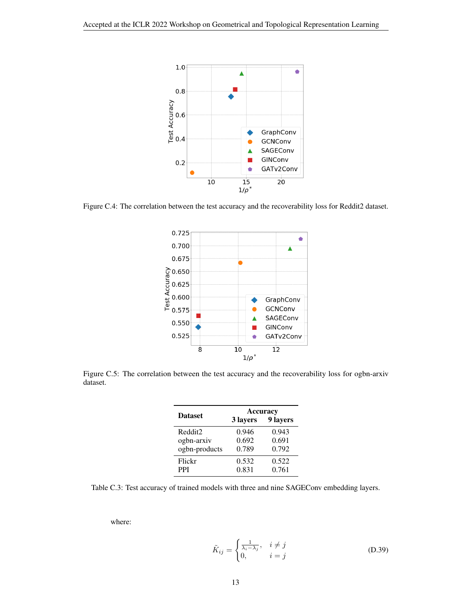<span id="page-12-0"></span>

Figure C.4: The correlation between the test accuracy and the recoverability loss for Reddit2 dataset.



Figure C.5: The correlation between the test accuracy and the recoverability loss for ogbn-arxiv dataset.

|                | Accuracy |          |  |  |  |
|----------------|----------|----------|--|--|--|
| <b>Dataset</b> | 3 layers | 9 layers |  |  |  |
| Reddit2        | 0.946    | 0.943    |  |  |  |
| ogbn-arxiv     | 0.692    | 0.691    |  |  |  |
| ogbn-products  | 0.789    | 0.792    |  |  |  |
| Flickr         | 0.532    | 0.522    |  |  |  |
| <b>PPI</b>     | 0.831    | 0.761    |  |  |  |

Table C.3: Test accuracy of trained models with three and nine SAGEConv embedding layers.

where:

$$
\tilde{K}_{ij} = \begin{cases} \frac{1}{\lambda_i - \lambda_j}, & i \neq j \\ 0, & i = j \end{cases}
$$
 (D.39)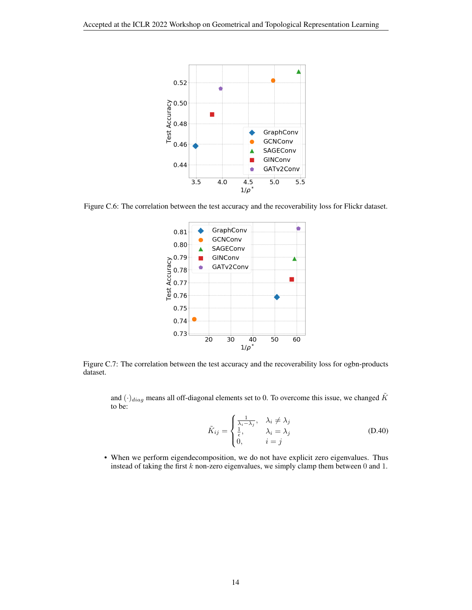<span id="page-13-0"></span>

Figure C.6: The correlation between the test accuracy and the recoverability loss for Flickr dataset.



Figure C.7: The correlation between the test accuracy and the recoverability loss for ogbn-products dataset.

and  $(\cdot)_{diag}$  means all off-diagonal elements set to 0. To overcome this issue, we changed  $\tilde{K}$ to be:

$$
\tilde{K}_{ij} = \begin{cases}\n\frac{1}{\lambda_i - \lambda_j}, & \lambda_i \neq \lambda_j \\
\frac{1}{\epsilon}, & \lambda_i = \lambda_j \\
0, & i = j\n\end{cases}
$$
\n(D.40)

• When we perform eigendecomposition, we do not have explicit zero eigenvalues. Thus instead of taking the first k non-zero eigenvalues, we simply clamp them between 0 and 1.